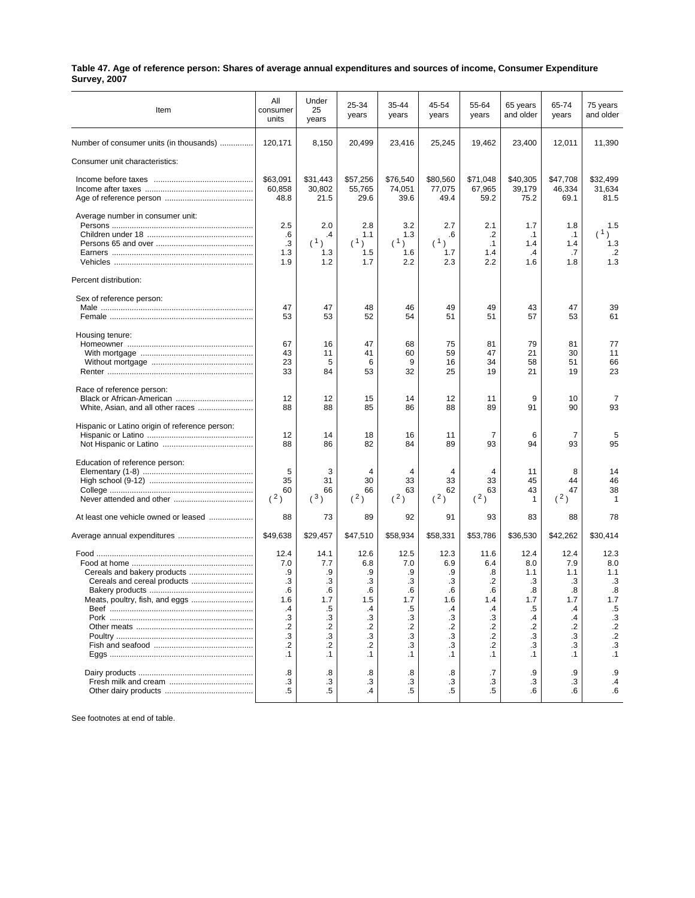| Table 47. Age of reference person: Shares of average annual expenditures and sources of income, Consumer Expenditure |  |
|----------------------------------------------------------------------------------------------------------------------|--|
| <b>Survey, 2007</b>                                                                                                  |  |

| Item                                                          | All<br>consumer<br>units                                                                    | Under<br>25<br>years                                                                      | 25-34<br>years                                                                                 | 35-44<br>years                                                                              | 45-54<br>years                                                                              | 55-64<br>years                                                                                       | 65 years<br>and older                                                            | 65-74<br>years                                                                   | 75 years<br>and older                                                                                       |
|---------------------------------------------------------------|---------------------------------------------------------------------------------------------|-------------------------------------------------------------------------------------------|------------------------------------------------------------------------------------------------|---------------------------------------------------------------------------------------------|---------------------------------------------------------------------------------------------|------------------------------------------------------------------------------------------------------|----------------------------------------------------------------------------------|----------------------------------------------------------------------------------|-------------------------------------------------------------------------------------------------------------|
| Number of consumer units (in thousands)                       | 120,171                                                                                     | 8,150                                                                                     | 20,499                                                                                         | 23,416                                                                                      | 25,245                                                                                      | 19,462                                                                                               | 23,400                                                                           | 12,011                                                                           | 11,390                                                                                                      |
| Consumer unit characteristics:                                |                                                                                             |                                                                                           |                                                                                                |                                                                                             |                                                                                             |                                                                                                      |                                                                                  |                                                                                  |                                                                                                             |
|                                                               | \$63,091<br>60,858<br>48.8                                                                  | \$31,443<br>30,802<br>21.5                                                                | \$57,256<br>55,765<br>29.6                                                                     | \$76,540<br>74,051<br>39.6                                                                  | \$80,560<br>77,075<br>49.4                                                                  | \$71,048<br>67,965<br>59.2                                                                           | \$40,305<br>39,179<br>75.2                                                       | \$47,708<br>46,334<br>69.1                                                       | \$32,499<br>31,634<br>81.5                                                                                  |
| Average number in consumer unit:                              | 2.5                                                                                         | 2.0                                                                                       | 2.8                                                                                            | 3.2                                                                                         | 2.7                                                                                         | 2.1                                                                                                  | 1.7                                                                              | 1.8                                                                              | 1.5                                                                                                         |
|                                                               | .6<br>$\cdot$ 3<br>1.3<br>1.9                                                               | .4<br>(1)<br>1.3<br>1.2                                                                   | 1.1<br>(1)<br>1.5<br>1.7                                                                       | 1.3<br>(1)<br>1.6<br>2.2                                                                    | .6<br>(1)<br>1.7<br>2.3                                                                     | .2<br>.1<br>1.4<br>2.2                                                                               | .1<br>1.4<br>$\cdot$ 4<br>1.6                                                    | $\cdot$ 1<br>1.4<br>.7<br>1.8                                                    | (1)<br>1.3<br>$\cdot$ .2<br>1.3                                                                             |
| Percent distribution:                                         |                                                                                             |                                                                                           |                                                                                                |                                                                                             |                                                                                             |                                                                                                      |                                                                                  |                                                                                  |                                                                                                             |
| Sex of reference person:                                      |                                                                                             |                                                                                           |                                                                                                |                                                                                             |                                                                                             |                                                                                                      |                                                                                  |                                                                                  |                                                                                                             |
|                                                               | 47<br>53                                                                                    | 47<br>53                                                                                  | 48<br>52                                                                                       | 46<br>54                                                                                    | 49<br>51                                                                                    | 49<br>51                                                                                             | 43<br>57                                                                         | 47<br>53                                                                         | 39<br>61                                                                                                    |
| Housing tenure:                                               | 67<br>43<br>23<br>33                                                                        | 16<br>11<br>5<br>84                                                                       | 47<br>41<br>6<br>53                                                                            | 68<br>60<br>9<br>32                                                                         | 75<br>59<br>16<br>25                                                                        | 81<br>47<br>34<br>19                                                                                 | 79<br>21<br>58<br>21                                                             | 81<br>30<br>51<br>19                                                             | 77<br>11<br>66<br>23                                                                                        |
| Race of reference person:                                     | 12<br>88                                                                                    | 12<br>88                                                                                  | 15<br>85                                                                                       | 14<br>86                                                                                    | 12<br>88                                                                                    | 11<br>89                                                                                             | 9<br>91                                                                          | 10<br>90                                                                         | 7<br>93                                                                                                     |
| Hispanic or Latino origin of reference person:                | 12<br>88                                                                                    | 14<br>86                                                                                  | 18<br>82                                                                                       | 16<br>84                                                                                    | 11<br>89                                                                                    | 7<br>93                                                                                              | 6<br>94                                                                          | 7<br>93                                                                          | 5<br>95                                                                                                     |
| Education of reference person:                                | 5<br>35<br>60<br>(2)                                                                        | 3<br>31<br>66<br>(3)                                                                      | 4<br>30<br>66<br>(2)                                                                           | 4<br>33<br>63<br>(2)                                                                        | 4<br>33<br>62<br>(2)                                                                        | 4<br>33<br>63<br>(2)                                                                                 | 11<br>45<br>43<br>1                                                              | 8<br>44<br>47<br>(2)                                                             | 14<br>46<br>38<br>1                                                                                         |
| At least one vehicle owned or leased                          | 88                                                                                          | 73                                                                                        | 89                                                                                             | 92                                                                                          | 91                                                                                          | 93                                                                                                   | 83                                                                               | 88                                                                               | 78                                                                                                          |
| Average annual expenditures                                   | \$49,638                                                                                    | \$29,457                                                                                  | \$47,510                                                                                       | \$58,934                                                                                    | \$58,331                                                                                    | \$53,786                                                                                             | \$36,530                                                                         | \$42,262                                                                         | \$30,414                                                                                                    |
| Cereals and cereal products<br>Meats, poultry, fish, and eggs | 12.4<br>7.0<br>.9<br>.3<br>.6<br>1.6<br>.4<br>.3<br>$\cdot$<br>$\cdot$ 3<br>.2<br>$\cdot$ 1 | 14.1<br>7.7<br>.9<br>.3<br>.6<br>1.7<br>.5<br>.3<br>$\cdot$<br>.3<br>$\cdot$<br>$\cdot$ 1 | 12.6<br>6.8<br>.9<br>.3<br>.6<br>1.5<br>.4<br>.3<br>$\cdot$ .2<br>$\cdot$ 3<br>.2<br>$\cdot$ 1 | 12.5<br>7.0<br>.9<br>.3<br>.6<br>1.7<br>.5<br>.3<br>$\cdot$<br>$\cdot$ 3<br>.3<br>$\cdot$ 1 | 12.3<br>6.9<br>.9<br>.3<br>.6<br>1.6<br>.4<br>.3<br>$\cdot$<br>$\cdot$ 3<br>.3<br>$\cdot$ 1 | 11.6<br>6.4<br>.8<br>.2<br>.6<br>1.4<br>.4<br>.3<br>$.2\phantom{0}$<br>$\cdot$ .2<br>.2<br>$\cdot$ 1 | 12.4<br>8.0<br>1.1<br>.3<br>.8<br>1.7<br>.5<br>.4<br>.2<br>.3<br>.3<br>$\cdot$ 1 | 12.4<br>7.9<br>1.1<br>.3<br>.8<br>1.7<br>.4<br>.4<br>.2<br>.3<br>.3<br>$\cdot$ 1 | 12.3<br>8.0<br>1.1<br>$\cdot$ 3<br>.8<br>1.7<br>$.5\,$<br>$\cdot$ 3<br>$.2\,$<br>$\frac{2}{3}$<br>$\cdot$ 1 |
|                                                               | .8<br>.3<br>$.5\,$                                                                          | .8<br>.3<br>$.5\,$                                                                        | .8<br>.3<br>.4                                                                                 | .8<br>.3<br>.5                                                                              | .8<br>.3<br>.5                                                                              | .7<br>.3<br>.5                                                                                       | .9<br>.3<br>.6                                                                   | .9<br>.3<br>.6                                                                   | .9<br>$\cdot$<br>6.6                                                                                        |

See footnotes at end of table.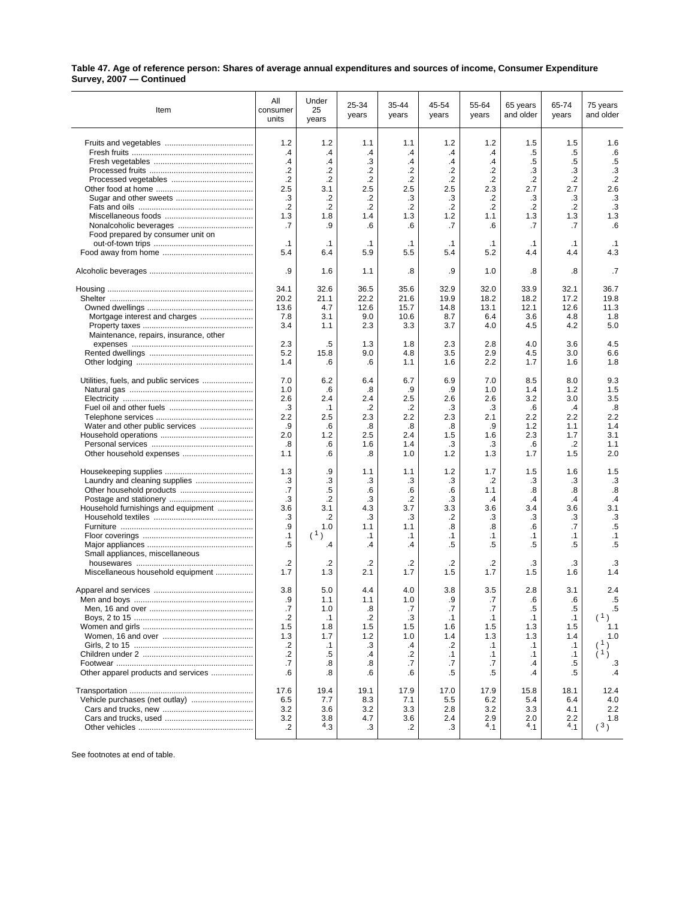| Table 47. Age of reference person: Shares of average annual expenditures and sources of income, Consumer Expenditure |  |
|----------------------------------------------------------------------------------------------------------------------|--|
| Survey, 2007 - Continued                                                                                             |  |

| Item                                   | All<br>consumer<br>units | Under<br>25<br>years | 25-34<br>years   | 35-44<br>years   | 45-54<br>years | 55-64<br>years   | 65 years<br>and older | 65-74<br>years   | 75 years<br>and older |
|----------------------------------------|--------------------------|----------------------|------------------|------------------|----------------|------------------|-----------------------|------------------|-----------------------|
|                                        | 1.2                      | 1.2                  | 1.1              | 1.1              | 1.2            | 1.2              | 1.5                   | 1.5              | 1.6                   |
|                                        | .4                       | .4                   | .4               | .4               | $\cdot$        | .4               | .5                    | .5               | .6                    |
|                                        | $\mathcal{A}$            | .4                   | .3               | .4               | $\cdot$        | .4               | .5                    | .5               | $.5\,$                |
|                                        | $\cdot$                  | .2                   | $\cdot$          | $\cdot$          | $\cdot$        | $\cdot$ .2       | .3                    | .3               | .3                    |
|                                        | $\cdot$                  | .2                   | .2               | $\cdot$          | $\cdot$        | $\cdot$          | .2                    | .2               | $\cdot$ .2            |
|                                        | 2.5                      | 3.1                  | 2.5              | 2.5              | 2.5            | 2.3              | 2.7                   | 2.7              | 2.6                   |
|                                        | .3                       | .2                   | .2               | .3               | .3             | .2               | .3                    | .3               | $\cdot$ 3             |
|                                        | $\cdot$                  | .2                   | .2               | $\cdot$          | .2             | $\cdot$          | .2                    | .2               | .3                    |
|                                        | 1.3                      | 1.8                  | 1.4              | 1.3              | 1.2            | 1.1              | 1.3                   | 1.3              | 1.3                   |
|                                        | .7                       | .9                   | .6               | .6               | .7             | .6               | .7                    | .7               | .6                    |
| Food prepared by consumer unit on      | $\cdot$ 1                |                      |                  |                  | $\cdot$ 1      |                  |                       |                  |                       |
|                                        | 5.4                      | $\cdot$ 1<br>6.4     | $\cdot$ 1<br>5.9 | $\cdot$ 1<br>5.5 | 5.4            | $\cdot$ 1<br>5.2 | $\cdot$ 1<br>4.4      | $\cdot$ 1<br>4.4 | $\cdot$ 1<br>4.3      |
|                                        |                          |                      |                  |                  |                |                  |                       |                  |                       |
|                                        | .9                       | 1.6                  | 1.1              | .8               | .9             | 1.0              | .8                    | .8               | .7                    |
|                                        | 34.1                     | 32.6                 | 36.5             | 35.6             | 32.9           | 32.0             | 33.9                  | 32.1             | 36.7                  |
|                                        | 20.2                     | 21.1                 | 22.2             | 21.6             | 19.9           | 18.2             | 18.2                  | 17.2             | 19.8                  |
|                                        | 13.6                     | 4.7                  | 12.6             | 15.7             | 14.8           | 13.1             | 12.1                  | 12.6             | 11.3                  |
| Mortgage interest and charges          | 7.8                      | 3.1                  | 9.0              | 10.6             | 8.7            | 6.4              | 3.6                   | 4.8              | 1.8                   |
|                                        | 3.4                      | 1.1                  | 2.3              | 3.3              | 3.7            | 4.0              | 4.5                   | 4.2              | 5.0                   |
| Maintenance, repairs, insurance, other | 2.3                      | .5                   | 1.3              | 1.8              | 2.3            | 2.8              | 4.0                   | 3.6              | 4.5                   |
|                                        | 5.2                      | 15.8                 | 9.0              | 4.8              | 3.5            | 2.9              | 4.5                   | 3.0              | 6.6                   |
|                                        | 1.4                      | .6                   | .6               | 1.1              | 1.6            | 2.2              | 1.7                   | 1.6              | 1.8                   |
| Utilities, fuels, and public services  | 7.0                      | 6.2                  | 6.4              | 6.7              | 6.9            | 7.0              | 8.5                   | 8.0              | 9.3                   |
|                                        | 1.0                      | .6                   | .8               | .9               | .9             | 1.0              | 1.4                   | 1.2              | 1.5                   |
|                                        | 2.6                      | 2.4                  | 2.4              | 2.5              | 2.6            | 2.6              | 3.2                   | 3.0              | 3.5                   |
|                                        | .3                       | $\cdot$ 1            | .2               | .2               | .3             | .3               | .6                    | $\cdot$          | .8                    |
|                                        | 2.2                      | 2.5                  | 2.3              | 2.2              | 2.3            | 2.1              | 2.2                   | 2.2              | 2.2                   |
| Water and other public services        | .9                       | .6                   | .8               | .8               | .8             | .9               | 1.2                   | 1.1              | 1.4                   |
|                                        | 2.0                      | 1.2                  | 2.5              | 2.4              | 1.5            | 1.6              | 2.3                   | 1.7              | 3.1                   |
|                                        | .8                       | .6                   | 1.6              | 1.4              | .3             | .3               | .6                    | .2               | 1.1                   |
|                                        | 1.1                      | .6                   | .8               | 1.0              | 1.2            | 1.3              | 1.7                   | 1.5              | 2.0                   |
|                                        | 1.3                      | .9                   | 1.1              | 1.1              | 1.2            | 1.7              | 1.5                   | 1.6              | 1.5                   |
|                                        | .3                       | .3                   | .3               | .3               | .3             | $\cdot$          | .3                    | .3               | .3                    |
|                                        | .7                       | .5                   | .6               | .6               | .6             | 1.1              | .8                    | .8               | $\boldsymbol{.8}$     |
|                                        | .3                       | $\cdot$ .2           | .3               | $\cdot$          | .3             | $\cdot$          | $\cdot$               | $\cdot$          | $\cdot$ 4             |
| Household furnishings and equipment    | 3.6                      | 3.1                  | 4.3              | 3.7              | 3.3            | 3.6              | 3.4                   | 3.6              | 3.1                   |
|                                        | .3                       | .2                   | .3               | .3               | .2             | .3               | .3                    | .3               | .3                    |
|                                        | .9                       | 1.0                  | 1.1              | 1.1              | .8             | .8               | .6                    | .7               | $.5\,$                |
|                                        | $\cdot$ 1                | (1)                  | $\cdot$ 1        | $\cdot$ 1        | $\cdot$ 1      | $\cdot$ 1        | $\cdot$ 1             | $\cdot$ 1        | $\cdot$ 1             |
|                                        | .5                       | .4                   | .4               | .4               | .5             | .5               | .5                    | .5               | .5                    |
| Small appliances, miscellaneous        | .2                       | .2                   | .2               | .2               | $\cdot$        | $\cdot$          | .3                    | .3               | .3                    |
| Miscellaneous household equipment      | 1.7                      | 1.3                  | 2.1              | 1.7              | 1.5            | 1.7              | 1.5                   | 1.6              | 1.4                   |
|                                        | 3.8                      | 5.0                  | 4.4              | 4.0              | 3.8            | 3.5              | 2.8                   | 3.1              | 2.4                   |
|                                        | .9                       | 1.1                  | 1.1              | 1.0              | .9             | $\cdot$          | .6                    | .6               | .5                    |
|                                        | .7                       | 1.0                  | .8               | .7               | .7             | .7               | .5                    | .5               | .5                    |
|                                        | .2                       | $\cdot$ 1            | $\cdot$          | .3               | $\cdot$ 1      | $\cdot$ 1        | $\cdot$ 1             | $\cdot$ 1        |                       |
|                                        | 1.5                      | 1.8                  | 1.5              | 1.5              | 1.6            | 1.5              | 1.3                   | 1.5              | 1.1                   |
|                                        | 1.3                      | 1.7                  | 1.2              | 1.0              | 1.4            | 1.3              | 1.3                   | 1.4              | 1.0                   |
|                                        | $\cdot^2$                | $\cdot$ 1            | .3               | .4               | $\cdot$        | $\cdot$ 1        | $\cdot$ 1             | $\cdot$ 1        |                       |
|                                        | .2                       | .5                   | .4               | .2               | $\cdot$ 1      | $\cdot$ 1        | $\cdot$ 1             | $\cdot$ 1        | (1)                   |
|                                        | .7                       | .8                   | .8               | .7               | .7             | .7               | $\cdot$               | .5               | .3                    |
| Other apparel products and services    | .6                       | .8                   | .6               | .6               | .5             | .5               | .4                    | .5               | $\mathcal{A}$         |
|                                        | 17.6                     | 19.4                 | 19.1             | 17.9             | 17.0           | 17.9             | 15.8                  | 18.1             | 12.4                  |
|                                        | 6.5                      | 7.7                  | 8.3              | 7.1              | 5.5            | 6.2              | 5.4                   | 6.4              | 4.0                   |
|                                        | 3.2                      | 3.6                  | 3.2              | 3.3              | 2.8            | 3.2              | 3.3                   | 4.1              | 2.2                   |
|                                        | 3.2                      | 3.8                  | 4.7              | 3.6              | 2.4            | 2.9              | 2.0                   | 2.2              | 1.8                   |
|                                        | $\cdot$                  | $^{4}$ .3            | .3               | .2               | .3             | 4.1              | 4.1                   | 4.1              | (3)                   |

See footnotes at end of table.